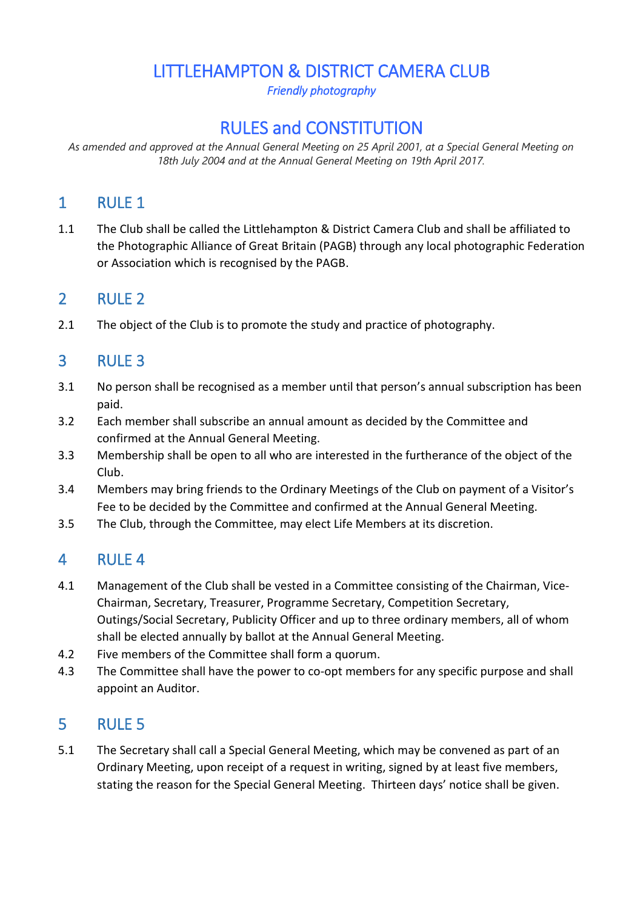# LITTLEHAMPTON & DISTRICT CAMERA CLUB

*Friendly photography* 

# RULES and CONSTITUTION

*As amended and approved at the Annual General Meeting on 25 April 2001, at a Special General Meeting on 18th July 2004 and at the Annual General Meeting on 19th April 2017.*

## 1 RULE 1

1.1 The Club shall be called the Littlehampton & District Camera Club and shall be affiliated to the Photographic Alliance of Great Britain (PAGB) through any local photographic Federation or Association which is recognised by the PAGB.

### 2 RULE 2

2.1 The object of the Club is to promote the study and practice of photography.

# 3 RULE 3

- 3.1 No person shall be recognised as a member until that person's annual subscription has been paid.
- 3.2 Each member shall subscribe an annual amount as decided by the Committee and confirmed at the Annual General Meeting.
- 3.3 Membership shall be open to all who are interested in the furtherance of the object of the Club.
- 3.4 Members may bring friends to the Ordinary Meetings of the Club on payment of a Visitor's Fee to be decided by the Committee and confirmed at the Annual General Meeting.
- 3.5 The Club, through the Committee, may elect Life Members at its discretion.

## 4 RULE 4

- 4.1 Management of the Club shall be vested in a Committee consisting of the Chairman, Vice-Chairman, Secretary, Treasurer, Programme Secretary, Competition Secretary, Outings/Social Secretary, Publicity Officer and up to three ordinary members, all of whom shall be elected annually by ballot at the Annual General Meeting.
- 4.2 Five members of the Committee shall form a quorum.
- 4.3 The Committee shall have the power to co-opt members for any specific purpose and shall appoint an Auditor.

## 5 RULE 5

5.1 The Secretary shall call a Special General Meeting, which may be convened as part of an Ordinary Meeting, upon receipt of a request in writing, signed by at least five members, stating the reason for the Special General Meeting. Thirteen days' notice shall be given.